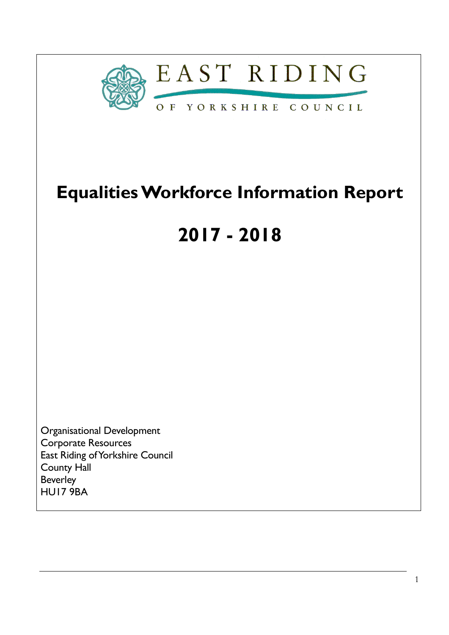

## **Equalities Workforce Information Report**

# **2017 - 2018**

Organisational Development Corporate Resources East Riding of Yorkshire Council County Hall Beverley HU17 9BA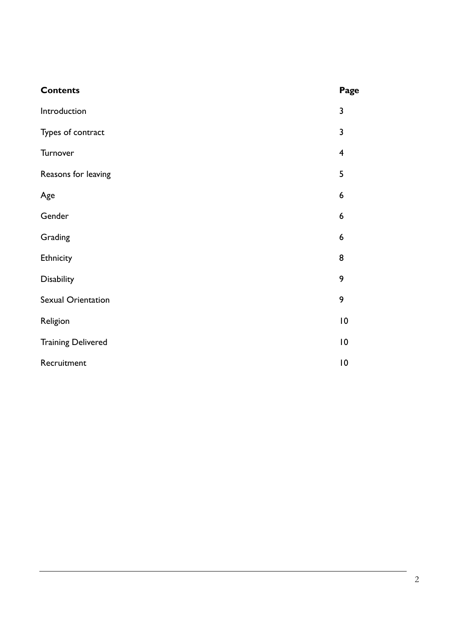| <b>Contents</b>           | Page                    |
|---------------------------|-------------------------|
| Introduction              | 3                       |
| Types of contract         | 3                       |
| Turnover                  | $\overline{\mathbf{4}}$ |
| Reasons for leaving       | 5                       |
| Age                       | 6                       |
| Gender                    | 6                       |
| Grading                   | 6                       |
| Ethnicity                 | 8                       |
| Disability                | 9                       |
| Sexual Orientation        | 9                       |
| Religion                  | 10                      |
| <b>Training Delivered</b> | $\overline{10}$         |
| Recruitment               | 10                      |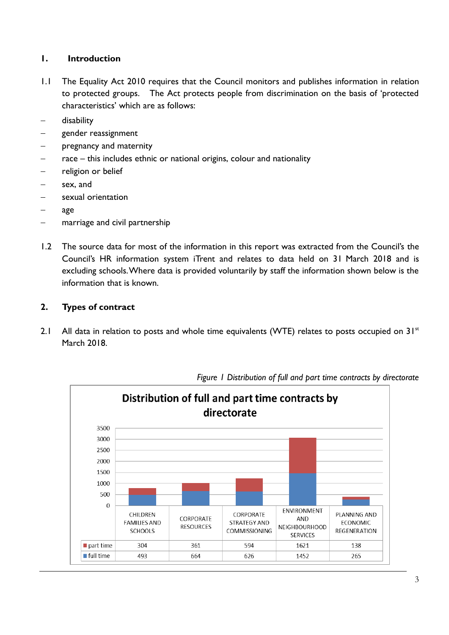#### **1. Introduction**

- 1.1 The Equality Act 2010 requires that the Council monitors and publishes information in relation to protected groups. The Act protects people from discrimination on the basis of 'protected characteristics' which are as follows:
- disability
- gender reassignment
- pregnancy and maternity
- race this includes ethnic or national origins, colour and nationality
- religion or belief
- sex, and
- sexual orientation
- age
- marriage and civil partnership
- 1.2 The source data for most of the information in this report was extracted from the Council's the Council's HR information system iTrent and relates to data held on 31 March 2018 and is excluding schools.Where data is provided voluntarily by staff the information shown below is the information that is known.

#### **2. Types of contract**

2.1 All data in relation to posts and whole time equivalents (WTE) relates to posts occupied on  $31^{st}$ March 2018.



*Figure 1 Distribution of full and part time contracts by directorate*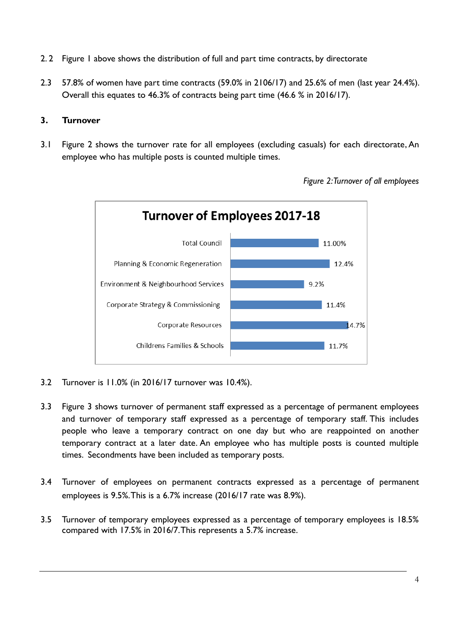- 2. 2 Figure 1 above shows the distribution of full and part time contracts, by directorate
- 2.3 57.8% of women have part time contracts (59.0% in 2106/17) and 25.6% of men (last year 24.4%). Overall this equates to 46.3% of contracts being part time (46.6 % in 2016/17).

#### **3. Turnover**

3.1 Figure 2 shows the turnover rate for all employees (excluding casuals) for each directorate, An employee who has multiple posts is counted multiple times.



*Figure 2: Turnover of all employees* 

- 3.2 Turnover is 11.0% (in 2016/17 turnover was 10.4%).
- 3.3 Figure 3 shows turnover of permanent staff expressed as a percentage of permanent employees and turnover of temporary staff expressed as a percentage of temporary staff. This includes people who leave a temporary contract on one day but who are reappointed on another temporary contract at a later date. An employee who has multiple posts is counted multiple times. Secondments have been included as temporary posts.
- 3.4 Turnover of employees on permanent contracts expressed as a percentage of permanent employees is 9.5%. This is a 6.7% increase (2016/17 rate was 8.9%).
- 3.5 Turnover of temporary employees expressed as a percentage of temporary employees is 18.5% compared with 17.5% in 2016/7. This represents a 5.7% increase.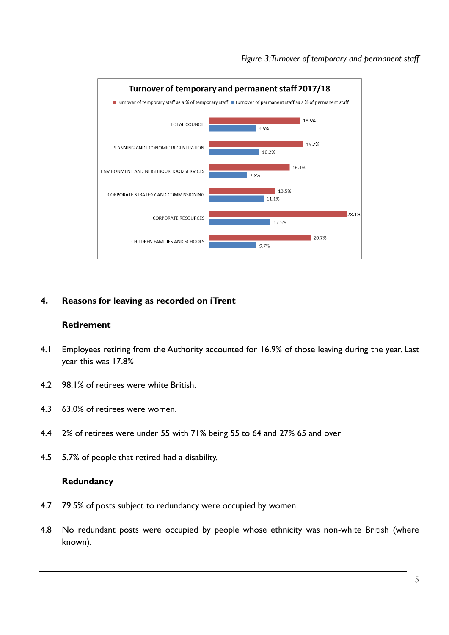

#### **4. Reasons for leaving as recorded on iTrent**

#### **Retirement**

- 4.1 Employees retiring from the Authority accounted for 16.9% of those leaving during the year. Last year this was 17.8%
- 4.2 98.1% of retirees were white British.
- 4.3 63.0% of retirees were women.
- 4.4 2% of retirees were under 55 with 71% being 55 to 64 and 27% 65 and over
- 4.5 5.7% of people that retired had a disability.

#### **Redundancy**

- 4.7 79.5% of posts subject to redundancy were occupied by women.
- 4.8 No redundant posts were occupied by people whose ethnicity was non-white British (where known).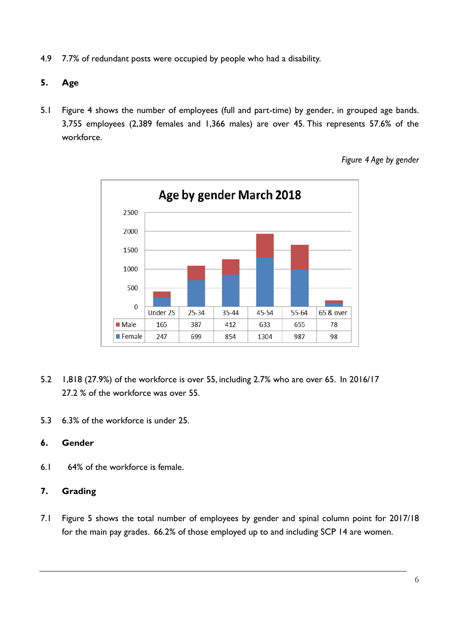- 4.9 7.7% of redundant posts were occupied by people who had a disability.
- **5. Age**
- 5.1 Figure 4 shows the number of employees (full and part-time) by gender, in grouped age bands. 3,755 employees (2,389 females and 1,366 males) are over 45. This represents 57.6% of the workforce.



*Figure 4 Age by gender* 

- 5.2 1,818 (27.9%) of the workforce is over 55, including 2.7% who are over 65. In 2016/17 27.2 % of the workforce was over 55.
- 5.3 6.3% of the workforce is under 25.

#### **6. Gender**

6.1 64% of the workforce is female.

### **7. Grading**

7.1 Figure 5 shows the total number of employees by gender and spinal column point for 2017/18 for the main pay grades. 66.2% of those employed up to and including SCP 14 are women.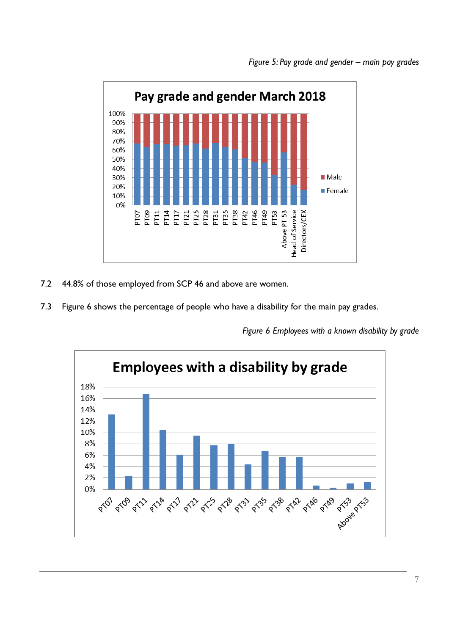

- 7.2 44.8% of those employed from SCP 46 and above are women.
- 7.3 Figure 6 shows the percentage of people who have a disability for the main pay grades.

*Figure 6 Employees with a known disability by grade*

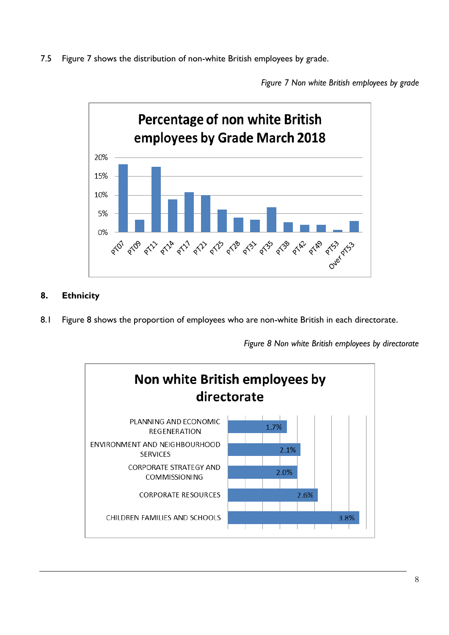7.5 Figure 7 shows the distribution of non-white British employees by grade.

*Figure 7 Non white British employees by grade*



## **8. Ethnicity**

8.1 Figure 8 shows the proportion of employees who are non-white British in each directorate.

*Figure 8 Non white British employees by directorate* 

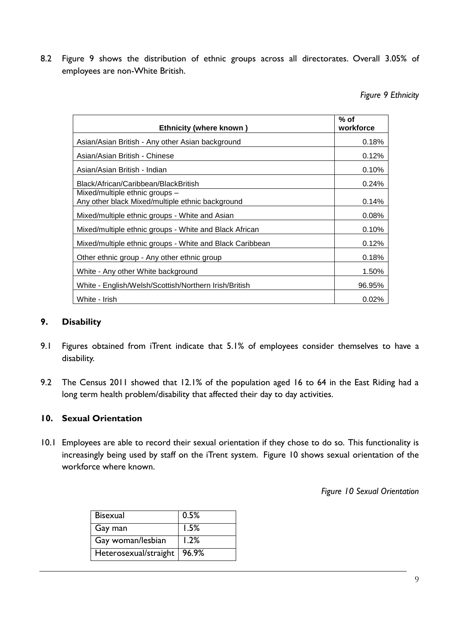8.2 Figure 9 shows the distribution of ethnic groups across all directorates. Overall 3.05% of employees are non-White British.

*Figure 9 Ethnicity* 

| <b>Ethnicity (where known)</b>                                                     | $%$ of<br>workforce |
|------------------------------------------------------------------------------------|---------------------|
| Asian/Asian British - Any other Asian background                                   | 0.18%               |
| Asian/Asian British - Chinese                                                      | 0.12%               |
| Asian/Asian British - Indian                                                       | 0.10%               |
| Black/African/Caribbean/BlackBritish                                               | 0.24%               |
| Mixed/multiple ethnic groups -<br>Any other black Mixed/multiple ethnic background | 0.14%               |
| Mixed/multiple ethnic groups - White and Asian                                     | 0.08%               |
| Mixed/multiple ethnic groups - White and Black African                             | 0.10%               |
| Mixed/multiple ethnic groups - White and Black Caribbean                           | 0.12%               |
| Other ethnic group - Any other ethnic group                                        | 0.18%               |
| White - Any other White background                                                 | 1.50%               |
| White - English/Welsh/Scottish/Northern Irish/British                              | 96.95%              |
| White - Irish                                                                      | $0.02\%$            |

#### **9. Disability**

- 9.1 Figures obtained from iTrent indicate that 5.1% of employees consider themselves to have a disability.
- 9.2 The Census 2011 showed that 12.1% of the population aged 16 to 64 in the East Riding had a long term health problem/disability that affected their day to day activities.

#### **10. Sexual Orientation**

10.1 Employees are able to record their sexual orientation if they chose to do so. This functionality is increasingly being used by staff on the iTrent system. Figure 10 shows sexual orientation of the workforce where known.

*Figure 10 Sexual Orientation* 

| <b>Bisexual</b>       | 0.5%  |
|-----------------------|-------|
| Gay man               | 1.5%  |
| Gay woman/lesbian     | 1.2%  |
| Heterosexual/straight | 96.9% |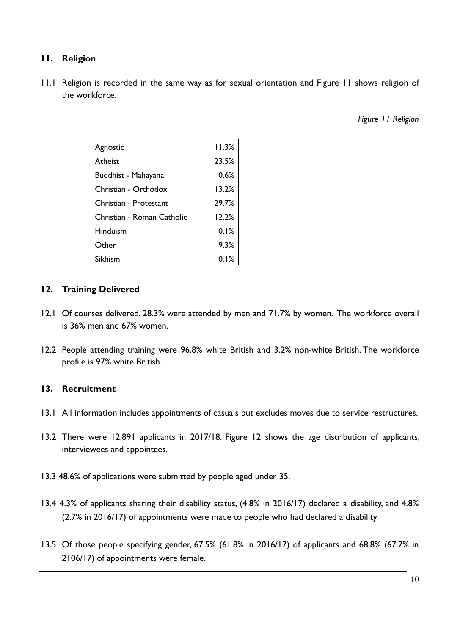#### **11. Religion**

11.1 Religion is recorded in the same way as for sexual orientation and Figure 11 shows religion of the workforce.

*Figure 11 Religion* 

| Agnostic                   | 11.3% |
|----------------------------|-------|
| Atheist                    | 23.5% |
| Buddhist - Mahayana        | 0.6%  |
| Christian - Orthodox       | 13.2% |
| Christian - Protestant     | 29.7% |
| Christian - Roman Catholic | 12.2% |
| Hinduism                   | 0.1%  |
| Other                      | 9.3%  |
| Sikhism                    | 0.1%  |

#### **12. Training Delivered**

- 12.1 Of courses delivered, 28.3% were attended by men and 71.7% by women. The workforce overall is 36% men and 67% women.
- 12.2 People attending training were 96.8% white British and 3.2% non-white British. The workforce profile is 97% white British.

#### **13. Recruitment**

- 13.1 All information includes appointments of casuals but excludes moves due to service restructures.
- 13.2 There were 12,891 applicants in 2017/18. Figure 12 shows the age distribution of applicants, interviewees and appointees.
- 13.3 48.6% of applications were submitted by people aged under 35.
- 13.4 4.3% of applicants sharing their disability status, (4.8% in 2016/17) declared a disability, and 4.8% (2.7% in 2016/17) of appointments were made to people who had declared a disability
- 13.5 Of those people specifying gender, 67.5% (61.8% in 2016/17) of applicants and 68.8% (67.7% in 2106/17) of appointments were female.